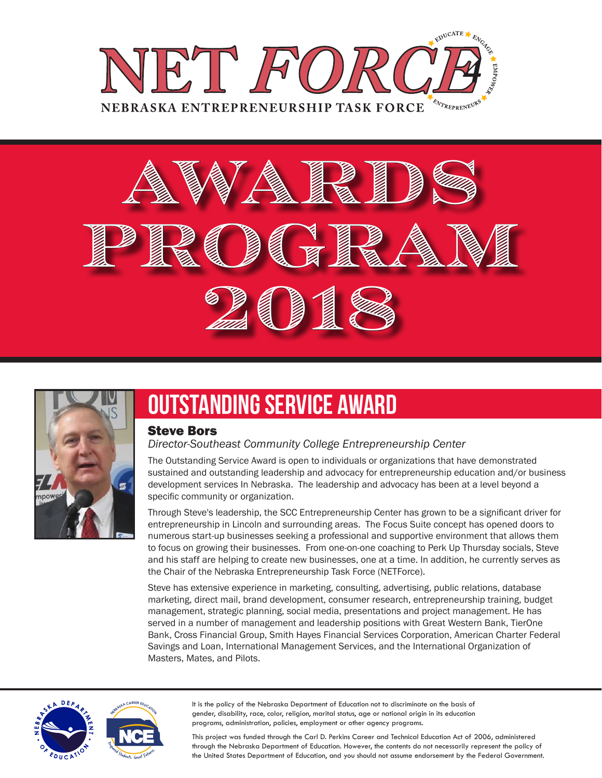





### Outstanding Service Award

#### Steve Bors

#### *Director-Southeast Community College Entrepreneurship Center*

The Outstanding Service Award is open to individuals or organizations that have demonstrated sustained and outstanding leadership and advocacy for entrepreneurship education and/or business development services In Nebraska. The leadership and advocacy has been at a level beyond a specific community or organization.

Through Steve's leadership, the SCC Entrepreneurship Center has grown to be a significant driver for entrepreneurship in Lincoln and surrounding areas. The Focus Suite concept has opened doors to numerous start-up businesses seeking a professional and supportive environment that allows them to focus on growing their businesses. From one-on-one coaching to Perk Up Thursday socials, Steve and his staff are helping to create new businesses, one at a time. In addition, he currently serves as the Chair of the Nebraska Entrepreneurship Task Force (NETForce).

Steve has extensive experience in marketing, consulting, advertising, public relations, database marketing, direct mail, brand development, consumer research, entrepreneurship training, budget management, strategic planning, social media, presentations and project management. He has served in a number of management and leadership positions with Great Western Bank, TierOne Bank, Cross Financial Group, Smith Hayes Financial Services Corporation, American Charter Federal Savings and Loan, International Management Services, and the International Organization of Masters, Mates, and Pilots.



**<sup>N</sup>EBRASK<sup>A</sup> <sup>C</sup>AREE<sup>R</sup> <sup>E</sup>DUCAT<sup>I</sup>O<sup>N</sup>**

**Prepared Students. Great Futures** 

It is the policy of the Nebraska Department of Education not to discriminate on the basis of gender, disability, race, color, religion, marital status, age or national origin in its education programs, administration, policies, employment or other agency programs.

This project was funded through the Carl D. Perkins Career and Technical Education Act of 2006, administered through the Nebraska Department of Education. However, the contents do not necessarily represent the policy of the United States Department of Education, and you should not assume endorsement by the Federal Government.